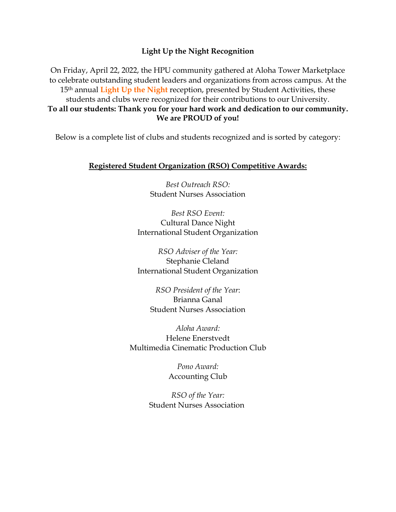#### **Light Up the Night Recognition**

On Friday, April 22, 2022, the HPU community gathered at Aloha Tower Marketplace to celebrate outstanding student leaders and organizations from across campus. At the 15th annual **Light Up the Night** reception, presented by Student Activities, these students and clubs were recognized for their contributions to our University. **To all our students: Thank you for your hard work and dedication to our community. We are PROUD of you!**

Below is a complete list of clubs and students recognized and is sorted by category:

#### **Registered Student Organization (RSO) Competitive Awards:**

*Best Outreach RSO:* Student Nurses Association

*Best RSO Event:* Cultural Dance Night International Student Organization

*RSO Adviser of the Year:* Stephanie Cleland International Student Organization

*RSO President of the Year*: Brianna Ganal Student Nurses Association

*Aloha Award:* Helene Enerstvedt Multimedia Cinematic Production Club

> *Pono Award:* Accounting Club

*RSO of the Year:* Student Nurses Association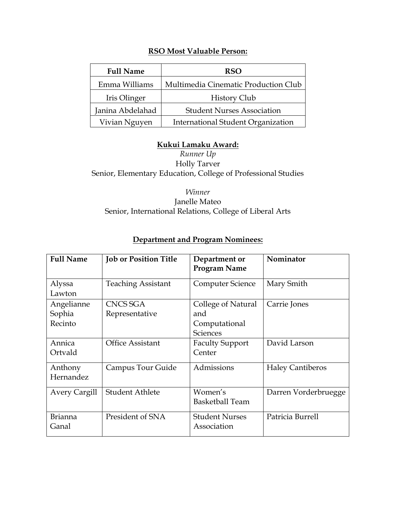# **RSO Most Valuable Person:**

| <b>Full Name</b>                                      | <b>RSO</b>                                |
|-------------------------------------------------------|-------------------------------------------|
| Emma Williams                                         | Multimedia Cinematic Production Club      |
| Iris Olinger                                          | <b>History Club</b>                       |
| Janina Abdelahad<br><b>Student Nurses Association</b> |                                           |
| Vivian Nguyen                                         | <b>International Student Organization</b> |

### **Kukui Lamaku Award:**

*Runner Up* Holly Tarver Senior, Elementary Education, College of Professional Studies

*Winner* Janelle Mateo Senior, International Relations, College of Liberal Arts

| <b>Full Name</b>                | <b>Job or Position Title</b> | Department or<br><b>Program Name</b>                          | Nominator               |
|---------------------------------|------------------------------|---------------------------------------------------------------|-------------------------|
| Alyssa<br>Lawton                | <b>Teaching Assistant</b>    | Computer Science                                              | Mary Smith              |
| Angelianne<br>Sophia<br>Recinto | CNCS SGA<br>Representative   | College of Natural<br>and<br>Computational<br><b>Sciences</b> | Carrie Jones            |
| Annica<br>Ortvald               | <b>Office Assistant</b>      | <b>Faculty Support</b><br>Center                              | David Larson            |
| Anthony<br>Hernandez            | Campus Tour Guide            | Admissions                                                    | <b>Haley Cantiberos</b> |
| <b>Avery Cargill</b>            | <b>Student Athlete</b>       | Women's<br><b>Basketball Team</b>                             | Darren Vorderbruegge    |
| <b>Brianna</b><br>Ganal         | President of SNA             | <b>Student Nurses</b><br>Association                          | Patricia Burrell        |

# **Department and Program Nominees:**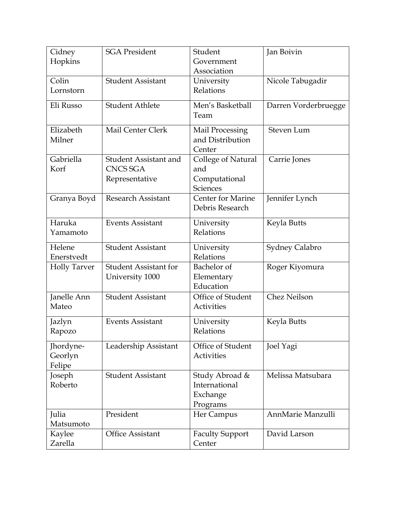| Cidney<br>Hopkins              | <b>SGA President</b>                                              | Student<br>Government<br>Association                          | Jan Boivin           |
|--------------------------------|-------------------------------------------------------------------|---------------------------------------------------------------|----------------------|
| Colin<br>Lornstorn             | <b>Student Assistant</b>                                          | University<br>Relations                                       | Nicole Tabugadir     |
| Eli Russo                      | <b>Student Athlete</b>                                            | Men's Basketball<br>Team                                      | Darren Vorderbruegge |
| Elizabeth<br>Milner            | Mail Center Clerk                                                 | <b>Mail Processing</b><br>and Distribution<br>Center          | Steven Lum           |
| Gabriella<br>Korf              | <b>Student Assistant and</b><br><b>CNCS SGA</b><br>Representative | College of Natural<br>and<br>Computational<br><b>Sciences</b> | Carrie Jones         |
| Granya Boyd                    | <b>Research Assistant</b>                                         | Center for Marine<br>Debris Research                          | Jennifer Lynch       |
| Haruka<br>Yamamoto             | <b>Events Assistant</b>                                           | University<br>Relations                                       | Keyla Butts          |
| Helene<br>Enerstvedt           | <b>Student Assistant</b>                                          | University<br>Relations                                       | Sydney Calabro       |
| <b>Holly Tarver</b>            | <b>Student Assistant for</b><br>University 1000                   | Bachelor of<br>Elementary<br>Education                        | Roger Kiyomura       |
| Janelle Ann<br>Mateo           | <b>Student Assistant</b>                                          | Office of Student<br>Activities                               | <b>Chez Neilson</b>  |
| Jazlyn<br>Rapozo               | <b>Events Assistant</b>                                           | University<br>Relations                                       | Keyla Butts          |
| Jhordyne-<br>Georlyn<br>Felipe | Leadership Assistant                                              | Office of Student<br>Activities                               | Joel Yagi            |
| Joseph<br>Roberto              | <b>Student Assistant</b>                                          | Study Abroad &<br>International<br>Exchange<br>Programs       | Melissa Matsubara    |
| Julia<br>Matsumoto             | President                                                         | Her Campus                                                    | AnnMarie Manzulli    |
| Kaylee<br>Zarella              | <b>Office Assistant</b>                                           | <b>Faculty Support</b><br>Center                              | David Larson         |